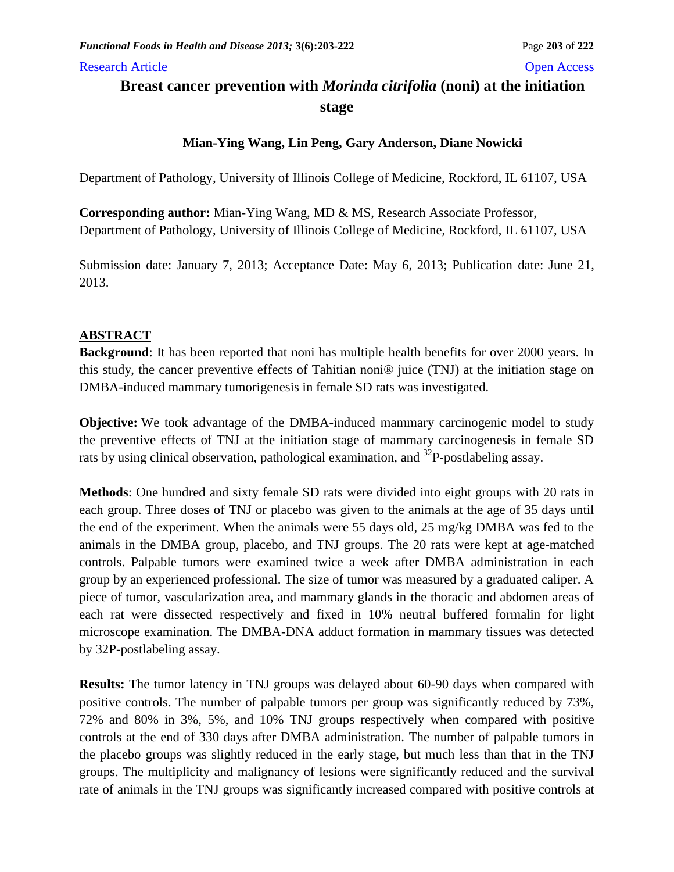#### Research Article **Open Access** Open Access **Open Access**

# **Breast cancer prevention with** *Morinda citrifolia* **(noni) at the initiation stage**

## **Mian-Ying Wang, Lin Peng, Gary Anderson, Diane Nowicki**

Department of Pathology, University of Illinois College of Medicine, Rockford, IL 61107, USA

**Corresponding author:** Mian-Ying Wang, MD & MS, Research Associate Professor, Department of Pathology, University of Illinois College of Medicine, Rockford, IL 61107, USA

Submission date: January 7, 2013; Acceptance Date: May 6, 2013; Publication date: June 21, 2013.

## **ABSTRACT**

**Background**: It has been reported that noni has multiple health benefits for over 2000 years. In this study, the cancer preventive effects of Tahitian noni® juice (TNJ) at the initiation stage on DMBA-induced mammary tumorigenesis in female SD rats was investigated.

**Objective:** We took advantage of the DMBA-induced mammary carcinogenic model to study the preventive effects of TNJ at the initiation stage of mammary carcinogenesis in female SD rats by using clinical observation, pathological examination, and <sup>32</sup>P-postlabeling assay.

**Methods**: One hundred and sixty female SD rats were divided into eight groups with 20 rats in each group. Three doses of TNJ or placebo was given to the animals at the age of 35 days until the end of the experiment. When the animals were 55 days old, 25 mg/kg DMBA was fed to the animals in the DMBA group, placebo, and TNJ groups. The 20 rats were kept at age-matched controls. Palpable tumors were examined twice a week after DMBA administration in each group by an experienced professional. The size of tumor was measured by a graduated caliper. A piece of tumor, vascularization area, and mammary glands in the thoracic and abdomen areas of each rat were dissected respectively and fixed in 10% neutral buffered formalin for light microscope examination. The DMBA-DNA adduct formation in mammary tissues was detected by 32P-postlabeling assay.

**Results:** The tumor latency in TNJ groups was delayed about 60-90 days when compared with positive controls. The number of palpable tumors per group was significantly reduced by 73%, 72% and 80% in 3%, 5%, and 10% TNJ groups respectively when compared with positive controls at the end of 330 days after DMBA administration. The number of palpable tumors in the placebo groups was slightly reduced in the early stage, but much less than that in the TNJ groups. The multiplicity and malignancy of lesions were significantly reduced and the survival rate of animals in the TNJ groups was significantly increased compared with positive controls at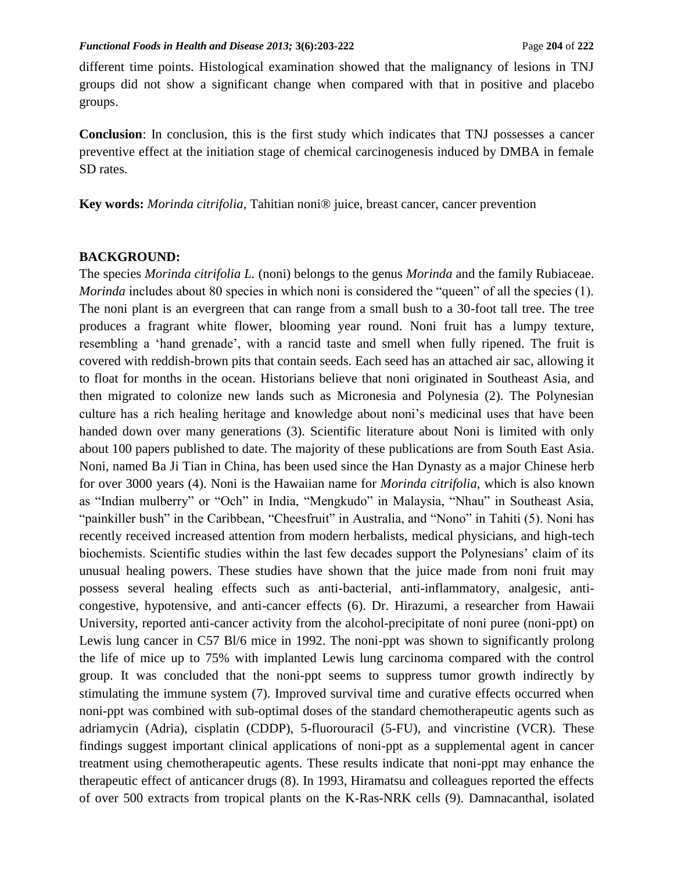different time points. Histological examination showed that the malignancy of lesions in TNJ groups did not show a significant change when compared with that in positive and placebo groups.

**Conclusion**: In conclusion, this is the first study which indicates that TNJ possesses a cancer preventive effect at the initiation stage of chemical carcinogenesis induced by DMBA in female SD rates.

**Key words:** *Morinda citrifolia,* Tahitian noni® juice, breast cancer, cancer prevention

### **BACKGROUND:**

The species *Morinda citrifolia L.* (noni) belongs to the genus *Morinda* and the family Rubiaceae. *Morinda* includes about 80 species in which noni is considered the "queen" of all the species (1). The noni plant is an evergreen that can range from a small bush to a 30-foot tall tree. The tree produces a fragrant white flower, blooming year round. Noni fruit has a lumpy texture, resembling a 'hand grenade', with a rancid taste and smell when fully ripened. The fruit is covered with reddish-brown pits that contain seeds. Each seed has an attached air sac, allowing it to float for months in the ocean. Historians believe that noni originated in Southeast Asia, and then migrated to colonize new lands such as Micronesia and Polynesia (2). The Polynesian culture has a rich healing heritage and knowledge about noni's medicinal uses that have been handed down over many generations (3). Scientific literature about Noni is limited with only about 100 papers published to date. The majority of these publications are from South East Asia. Noni, named Ba Ji Tian in China, has been used since the Han Dynasty as a major Chinese herb for over 3000 years (4). Noni is the Hawaiian name for *Morinda citrifolia,* which is also known as "Indian mulberry" or "Och" in India, "Mengkudo" in Malaysia, "Nhau" in Southeast Asia, "painkiller bush" in the Caribbean, "Cheesfruit" in Australia, and "Nono" in Tahiti (5). Noni has recently received increased attention from modern herbalists, medical physicians, and high-tech biochemists. Scientific studies within the last few decades support the Polynesians' claim of its unusual healing powers. These studies have shown that the juice made from noni fruit may possess several healing effects such as anti-bacterial, anti-inflammatory, analgesic, anticongestive, hypotensive, and anti-cancer effects (6). Dr. Hirazumi, a researcher from Hawaii University, reported anti-cancer activity from the alcohol-precipitate of noni puree (noni-ppt) on Lewis lung cancer in C57 Bl/6 mice in 1992. The noni-ppt was shown to significantly prolong the life of mice up to 75% with implanted Lewis lung carcinoma compared with the control group. It was concluded that the noni-ppt seems to suppress tumor growth indirectly by stimulating the immune system (7). Improved survival time and curative effects occurred when noni-ppt was combined with sub-optimal doses of the standard chemotherapeutic agents such as adriamycin (Adria), cisplatin (CDDP), 5-fluorouracil (5-FU), and vincristine (VCR). These findings suggest important clinical applications of noni-ppt as a supplemental agent in cancer treatment using chemotherapeutic agents. These results indicate that noni-ppt may enhance the therapeutic effect of anticancer drugs (8). In 1993, Hiramatsu and colleagues reported the effects of over 500 extracts from tropical plants on the K-Ras-NRK cells (9). Damnacanthal, isolated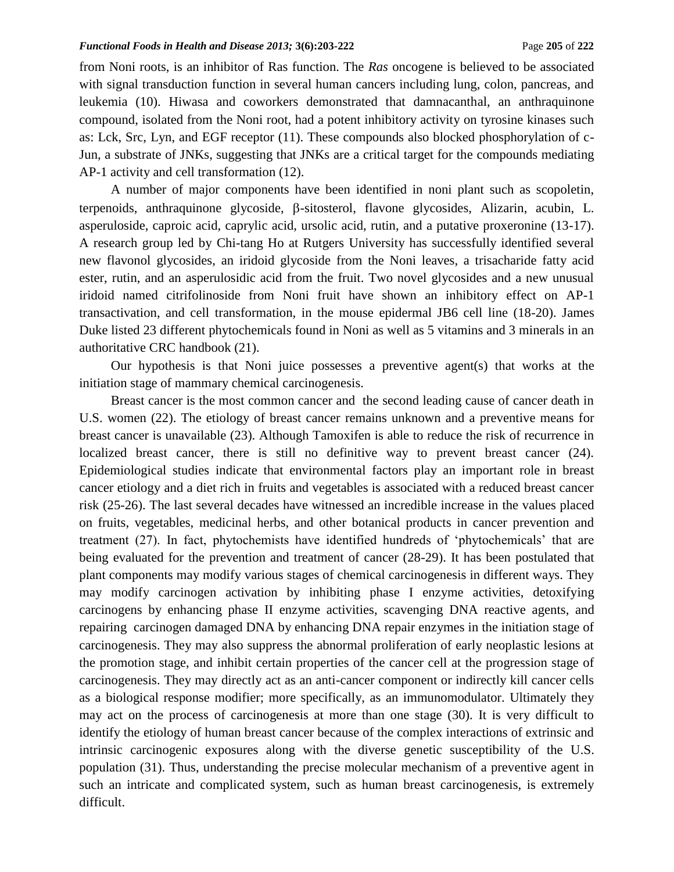#### *Functional Foods in Health and Disease 2013;* 3(6):203-222 **Page 205** of 222 **Page 205** of 222

from Noni roots, is an inhibitor of Ras function. The *Ras* oncogene is believed to be associated with signal transduction function in several human cancers including lung, colon, pancreas, and leukemia (10). Hiwasa and coworkers demonstrated that damnacanthal, an anthraquinone compound, isolated from the Noni root, had a potent inhibitory activity on tyrosine kinases such as: Lck, Src, Lyn, and EGF receptor (11). These compounds also blocked phosphorylation of c-Jun, a substrate of JNKs, suggesting that JNKs are a critical target for the compounds mediating AP-1 activity and cell transformation (12).

A number of major components have been identified in noni plant such as scopoletin, terpenoids, anthraquinone glycoside,  $\beta$ -sitosterol, flavone glycosides, Alizarin, acubin, L. asperuloside, caproic acid, caprylic acid, ursolic acid, rutin, and a putative proxeronine (13-17). A research group led by Chi-tang Ho at Rutgers University has successfully identified several new flavonol glycosides, an iridoid glycoside from the Noni leaves, a trisacharide fatty acid ester, rutin, and an asperulosidic acid from the fruit. Two novel glycosides and a new unusual iridoid named citrifolinoside from Noni fruit have shown an inhibitory effect on AP-1 transactivation, and cell transformation, in the mouse epidermal JB6 cell line (18-20). James Duke listed 23 different phytochemicals found in Noni as well as 5 vitamins and 3 minerals in an authoritative CRC handbook (21).

Our hypothesis is that Noni juice possesses a preventive agent(s) that works at the initiation stage of mammary chemical carcinogenesis.

Breast cancer is the most common cancer and the second leading cause of cancer death in U.S. women (22). The etiology of breast cancer remains unknown and a preventive means for breast cancer is unavailable (23). Although Tamoxifen is able to reduce the risk of recurrence in localized breast cancer, there is still no definitive way to prevent breast cancer (24). Epidemiological studies indicate that environmental factors play an important role in breast cancer etiology and a diet rich in fruits and vegetables is associated with a reduced breast cancer risk (25-26). The last several decades have witnessed an incredible increase in the values placed on fruits, vegetables, medicinal herbs, and other botanical products in cancer prevention and treatment (27). In fact, phytochemists have identified hundreds of 'phytochemicals' that are being evaluated for the prevention and treatment of cancer (28-29). It has been postulated that plant components may modify various stages of chemical carcinogenesis in different ways. They may modify carcinogen activation by inhibiting phase I enzyme activities, detoxifying carcinogens by enhancing phase II enzyme activities, scavenging DNA reactive agents, and repairing carcinogen damaged DNA by enhancing DNA repair enzymes in the initiation stage of carcinogenesis. They may also suppress the abnormal proliferation of early neoplastic lesions at the promotion stage, and inhibit certain properties of the cancer cell at the progression stage of carcinogenesis. They may directly act as an anti-cancer component or indirectly kill cancer cells as a biological response modifier; more specifically, as an immunomodulator. Ultimately they may act on the process of carcinogenesis at more than one stage (30). It is very difficult to identify the etiology of human breast cancer because of the complex interactions of extrinsic and intrinsic carcinogenic exposures along with the diverse genetic susceptibility of the U.S. population (31). Thus, understanding the precise molecular mechanism of a preventive agent in such an intricate and complicated system, such as human breast carcinogenesis, is extremely difficult.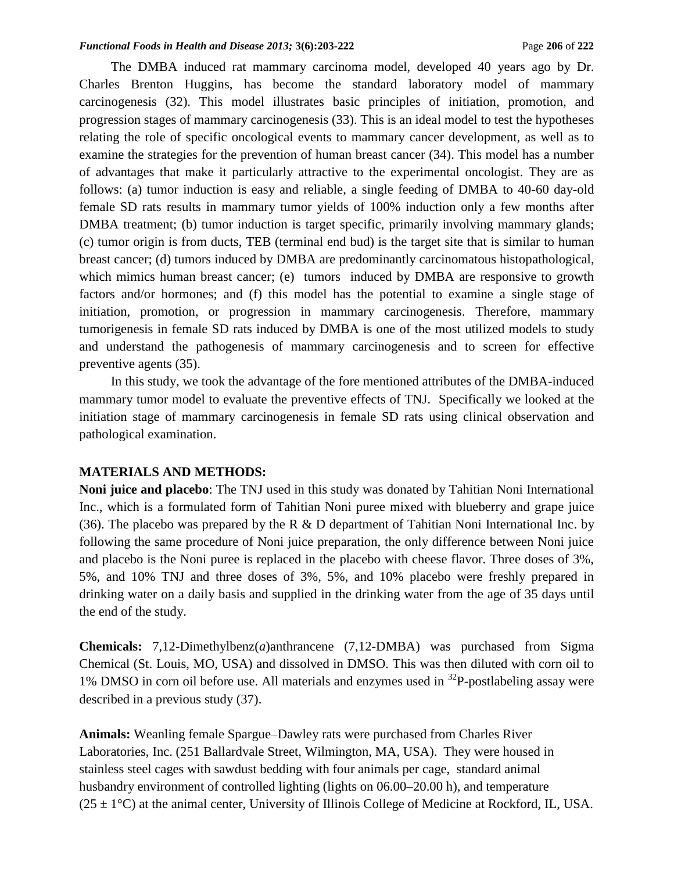The DMBA induced rat mammary carcinoma model, developed 40 years ago by Dr. Charles Brenton Huggins, has become the standard laboratory model of mammary carcinogenesis (32). This model illustrates basic principles of initiation, promotion, and progression stages of mammary carcinogenesis (33). This is an ideal model to test the hypotheses relating the role of specific oncological events to mammary cancer development, as well as to examine the strategies for the prevention of human breast cancer (34). This model has a number of advantages that make it particularly attractive to the experimental oncologist. They are as follows: (a) tumor induction is easy and reliable, a single feeding of DMBA to 40-60 day-old female SD rats results in mammary tumor yields of 100% induction only a few months after DMBA treatment; (b) tumor induction is target specific, primarily involving mammary glands; (c) tumor origin is from ducts, TEB (terminal end bud) is the target site that is similar to human breast cancer; (d) tumors induced by DMBA are predominantly carcinomatous histopathological, which mimics human breast cancer; (e) tumors induced by DMBA are responsive to growth factors and/or hormones; and (f) this model has the potential to examine a single stage of initiation, promotion, or progression in mammary carcinogenesis. Therefore, mammary tumorigenesis in female SD rats induced by DMBA is one of the most utilized models to study and understand the pathogenesis of mammary carcinogenesis and to screen for effective preventive agents (35).

In this study, we took the advantage of the fore mentioned attributes of the DMBA-induced mammary tumor model to evaluate the preventive effects of TNJ. Specifically we looked at the initiation stage of mammary carcinogenesis in female SD rats using clinical observation and pathological examination.

## **MATERIALS AND METHODS:**

**Noni juice and placebo**: The TNJ used in this study was donated by Tahitian Noni International Inc., which is a formulated form of Tahitian Noni puree mixed with blueberry and grape juice (36). The placebo was prepared by the R  $\&$  D department of Tahitian Noni International Inc. by following the same procedure of Noni juice preparation, the only difference between Noni juice and placebo is the Noni puree is replaced in the placebo with cheese flavor. Three doses of 3%, 5%, and 10% TNJ and three doses of 3%, 5%, and 10% placebo were freshly prepared in drinking water on a daily basis and supplied in the drinking water from the age of 35 days until the end of the study.

**Chemicals:** 7,12-Dimethylbenz(*a*)anthrancene (7,12-DMBA) was purchased from Sigma Chemical (St. Louis, MO, USA) and dissolved in DMSO. This was then diluted with corn oil to 1% DMSO in corn oil before use. All materials and enzymes used in <sup>32</sup>P-postlabeling assay were described in a previous study (37).

**Animals:** Weanling female Spargue–Dawley rats were purchased from Charles River Laboratories, Inc. (251 Ballardvale Street, Wilmington, MA, USA). They were housed in stainless steel cages with sawdust bedding with four animals per cage, standard animal husbandry environment of controlled lighting (lights on 06.00–20.00 h), and temperature  $(25 \pm 1^{\circ}C)$  at the animal center, University of Illinois College of Medicine at Rockford, IL, USA.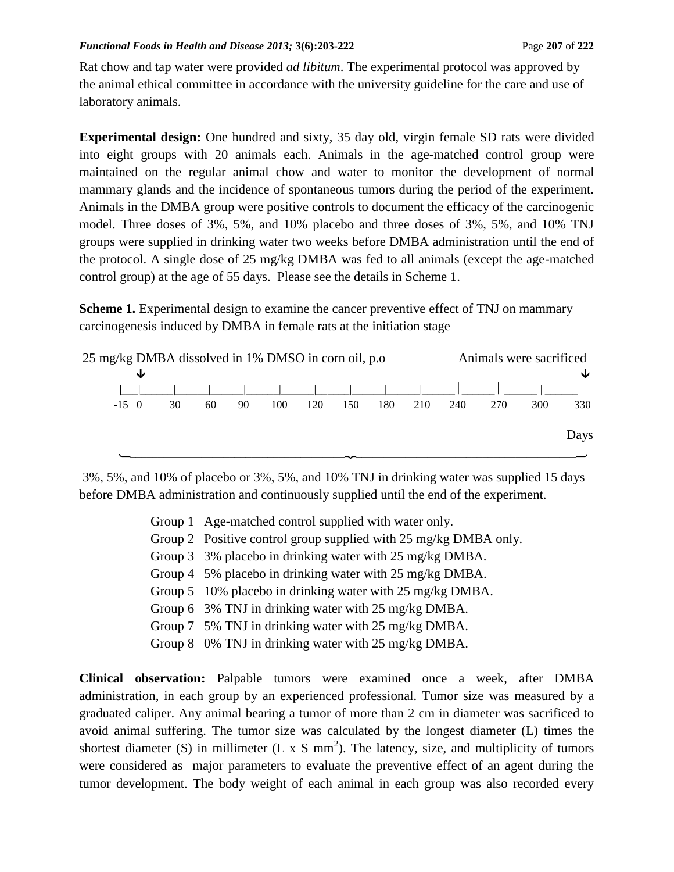#### *Functional Foods in Health and Disease 2013;* 3(6):203-222 **Page 207** of 222 **Page 207** of 222

Rat chow and tap water were provided *ad libitum*. The experimental protocol was approved by the animal ethical committee in accordance with the university guideline for the care and use of laboratory animals.

**Experimental design:** One hundred and sixty, 35 day old, virgin female SD rats were divided into eight groups with 20 animals each. Animals in the age-matched control group were maintained on the regular animal chow and water to monitor the development of normal mammary glands and the incidence of spontaneous tumors during the period of the experiment. Animals in the DMBA group were positive controls to document the efficacy of the carcinogenic model. Three doses of 3%, 5%, and 10% placebo and three doses of 3%, 5%, and 10% TNJ groups were supplied in drinking water two weeks before DMBA administration until the end of the protocol. A single dose of 25 mg/kg DMBA was fed to all animals (except the age-matched control group) at the age of 55 days. Please see the details in Scheme 1.

**Scheme 1.** Experimental design to examine the cancer preventive effect of TNJ on mammary carcinogenesis induced by DMBA in female rats at the initiation stage



3%, 5%, and 10% of placebo or 3%, 5%, and 10% TNJ in drinking water was supplied 15 days before DMBA administration and continuously supplied until the end of the experiment.

- Group 1 Age-matched control supplied with water only.
- Group 2 Positive control group supplied with 25 mg/kg DMBA only.
- Group 3 3% placebo in drinking water with 25 mg/kg DMBA.
- Group 4 5% placebo in drinking water with 25 mg/kg DMBA.
- Group 5 10% placebo in drinking water with 25 mg/kg DMBA.
- Group 6 3% TNJ in drinking water with 25 mg/kg DMBA.
- Group 7 5% TNJ in drinking water with 25 mg/kg DMBA.
- Group 8 0% TNJ in drinking water with 25 mg/kg DMBA.

**Clinical observation:** Palpable tumors were examined once a week, after DMBA administration, in each group by an experienced professional. Tumor size was measured by a graduated caliper. Any animal bearing a tumor of more than 2 cm in diameter was sacrificed to avoid animal suffering. The tumor size was calculated by the longest diameter (L) times the shortest diameter (S) in millimeter (L x S mm<sup>2</sup>). The latency, size, and multiplicity of tumors were considered as major parameters to evaluate the preventive effect of an agent during the tumor development. The body weight of each animal in each group was also recorded every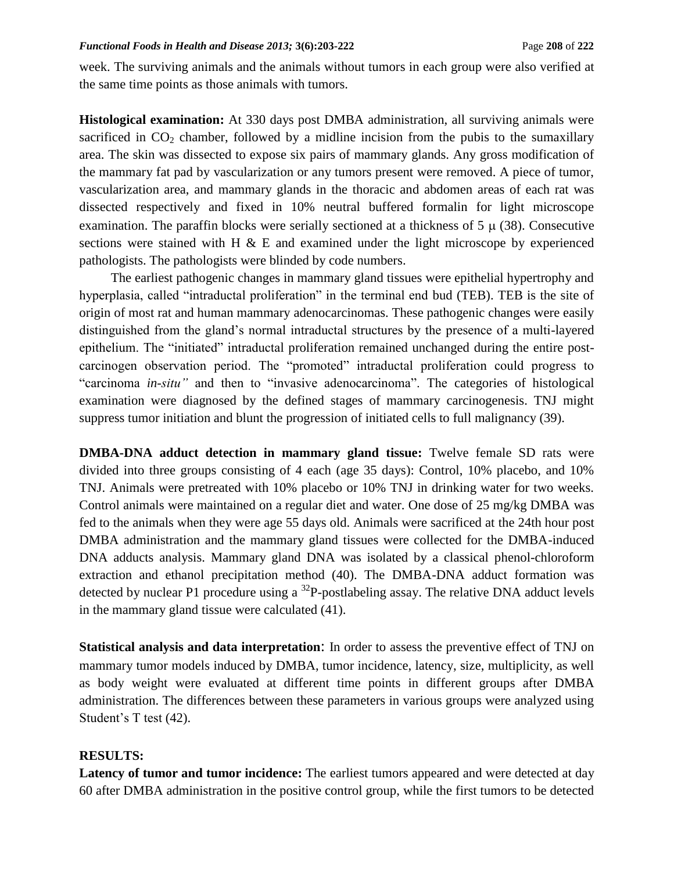week. The surviving animals and the animals without tumors in each group were also verified at the same time points as those animals with tumors.

**Histological examination:** At 330 days post DMBA administration, all surviving animals were sacrificed in  $CO<sub>2</sub>$  chamber, followed by a midline incision from the pubis to the sumaxillary area. The skin was dissected to expose six pairs of mammary glands. Any gross modification of the mammary fat pad by vascularization or any tumors present were removed. A piece of tumor, vascularization area, and mammary glands in the thoracic and abdomen areas of each rat was dissected respectively and fixed in 10% neutral buffered formalin for light microscope examination. The paraffin blocks were serially sectioned at a thickness of  $5 \mu (38)$ . Consecutive sections were stained with H  $\&$  E and examined under the light microscope by experienced pathologists. The pathologists were blinded by code numbers.

The earliest pathogenic changes in mammary gland tissues were epithelial hypertrophy and hyperplasia, called "intraductal proliferation" in the terminal end bud (TEB). TEB is the site of origin of most rat and human mammary adenocarcinomas. These pathogenic changes were easily distinguished from the gland's normal intraductal structures by the presence of a multi-layered epithelium. The "initiated" intraductal proliferation remained unchanged during the entire postcarcinogen observation period. The "promoted" intraductal proliferation could progress to "carcinoma *in-situ"* and then to "invasive adenocarcinoma". The categories of histological examination were diagnosed by the defined stages of mammary carcinogenesis. TNJ might suppress tumor initiation and blunt the progression of initiated cells to full malignancy (39).

**DMBA-DNA adduct detection in mammary gland tissue:** Twelve female SD rats were divided into three groups consisting of 4 each (age 35 days): Control, 10% placebo, and 10% TNJ. Animals were pretreated with 10% placebo or 10% TNJ in drinking water for two weeks. Control animals were maintained on a regular diet and water. One dose of 25 mg/kg DMBA was fed to the animals when they were age 55 days old. Animals were sacrificed at the 24th hour post DMBA administration and the mammary gland tissues were collected for the DMBA-induced DNA adducts analysis. Mammary gland DNA was isolated by a classical phenol-chloroform extraction and ethanol precipitation method (40). The DMBA-DNA adduct formation was detected by nuclear P1 procedure using a  $^{32}P$ -postlabeling assay. The relative DNA adduct levels in the mammary gland tissue were calculated (41).

**Statistical analysis and data interpretation**: In order to assess the preventive effect of TNJ on mammary tumor models induced by DMBA, tumor incidence, latency, size, multiplicity, as well as body weight were evaluated at different time points in different groups after DMBA administration. The differences between these parameters in various groups were analyzed using Student's T test (42).

## **RESULTS:**

Latency of tumor and tumor incidence: The earliest tumors appeared and were detected at day 60 after DMBA administration in the positive control group, while the first tumors to be detected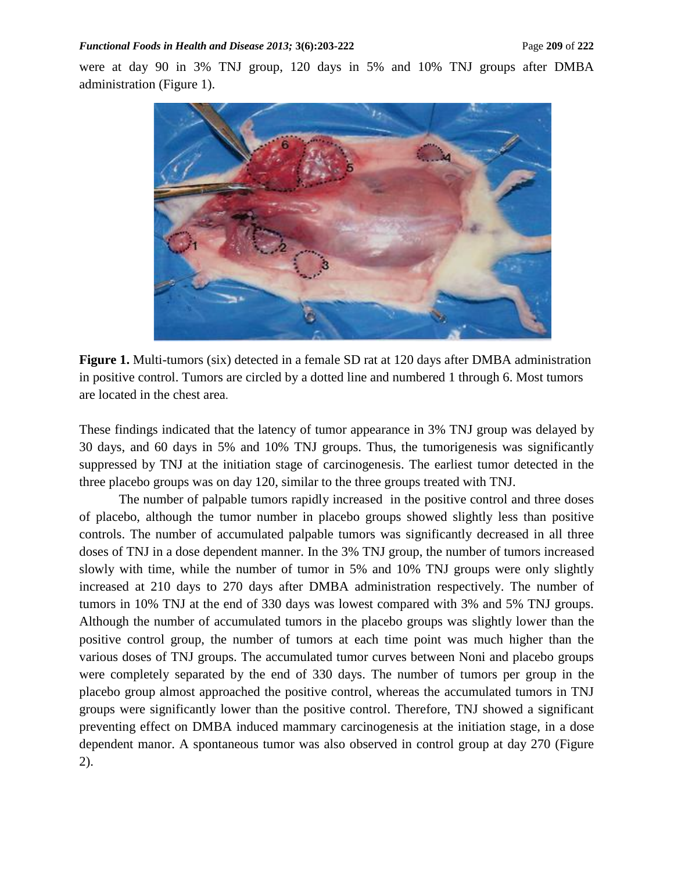were at day 90 in 3% TNJ group, 120 days in 5% and 10% TNJ groups after DMBA administration (Figure 1).



**Figure 1.** Multi-tumors (six) detected in a female SD rat at 120 days after DMBA administration in positive control. Tumors are circled by a dotted line and numbered 1 through 6. Most tumors are located in the chest area.

These findings indicated that the latency of tumor appearance in 3% TNJ group was delayed by 30 days, and 60 days in 5% and 10% TNJ groups. Thus, the tumorigenesis was significantly suppressed by TNJ at the initiation stage of carcinogenesis. The earliest tumor detected in the three placebo groups was on day 120, similar to the three groups treated with TNJ.

The number of palpable tumors rapidly increased in the positive control and three doses of placebo, although the tumor number in placebo groups showed slightly less than positive controls. The number of accumulated palpable tumors was significantly decreased in all three doses of TNJ in a dose dependent manner. In the 3% TNJ group, the number of tumors increased slowly with time, while the number of tumor in 5% and 10% TNJ groups were only slightly increased at 210 days to 270 days after DMBA administration respectively. The number of tumors in 10% TNJ at the end of 330 days was lowest compared with 3% and 5% TNJ groups. Although the number of accumulated tumors in the placebo groups was slightly lower than the positive control group, the number of tumors at each time point was much higher than the various doses of TNJ groups. The accumulated tumor curves between Noni and placebo groups were completely separated by the end of 330 days. The number of tumors per group in the placebo group almost approached the positive control, whereas the accumulated tumors in TNJ groups were significantly lower than the positive control. Therefore, TNJ showed a significant preventing effect on DMBA induced mammary carcinogenesis at the initiation stage, in a dose dependent manor. A spontaneous tumor was also observed in control group at day 270 (Figure 2).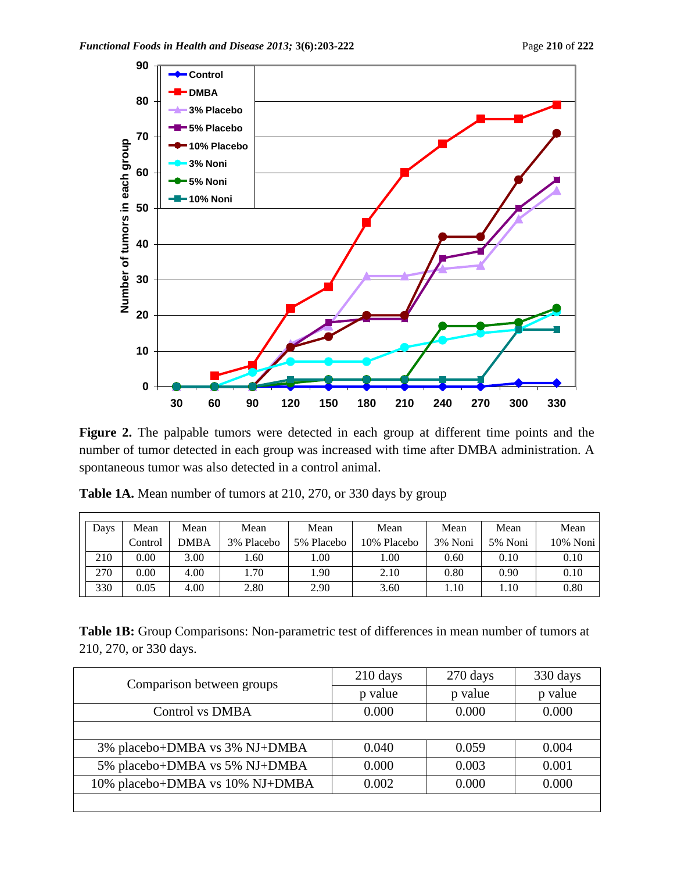

**Figure 2.** The palpable tumors were detected in each group at different time points and the number of tumor detected in each group was increased with time after DMBA administration. A spontaneous tumor was also detected in a control animal.

| Days | Mean    | Mean        | Mean       | Mean       | Mean        | Mean    | Mean    | Mean     |
|------|---------|-------------|------------|------------|-------------|---------|---------|----------|
|      | Control | <b>DMBA</b> | 3% Placebo | 5% Placebo | 10% Placebo | 3% Noni | 5% Noni | 10% Noni |
| 210  | 0.00    | 3.00        | .60        | 1.00       | 1.00        | 0.60    | 0.10    | 0.10     |
| 270  | 0.00    | 4.00        | 1.70       | 1.90       | 2.10        | 0.80    | 0.90    | 0.10     |
| 330  | 0.05    | 4.00        | 2.80       | 2.90       | 3.60        | 1.10    | .10     | 0.80     |

**Table 1A.** Mean number of tumors at 210, 270, or 330 days by group

**Table 1B:** Group Comparisons: Non-parametric test of differences in mean number of tumors at 210, 270, or 330 days.

| Comparison between groups       | $210$ days | $270 \text{ days}$ | 330 days |
|---------------------------------|------------|--------------------|----------|
|                                 | p value    | p value            | p value  |
| Control vs DMBA                 | 0.000      | 0.000              | 0.000    |
|                                 |            |                    |          |
| 3% placebo+DMBA vs 3% NJ+DMBA   | 0.040      | 0.059              | 0.004    |
| 5% placebo+DMBA vs 5% NJ+DMBA   | 0.000      | 0.003              | 0.001    |
| 10% placebo+DMBA vs 10% NJ+DMBA | 0.002      | 0.000              | 0.000    |
|                                 |            |                    |          |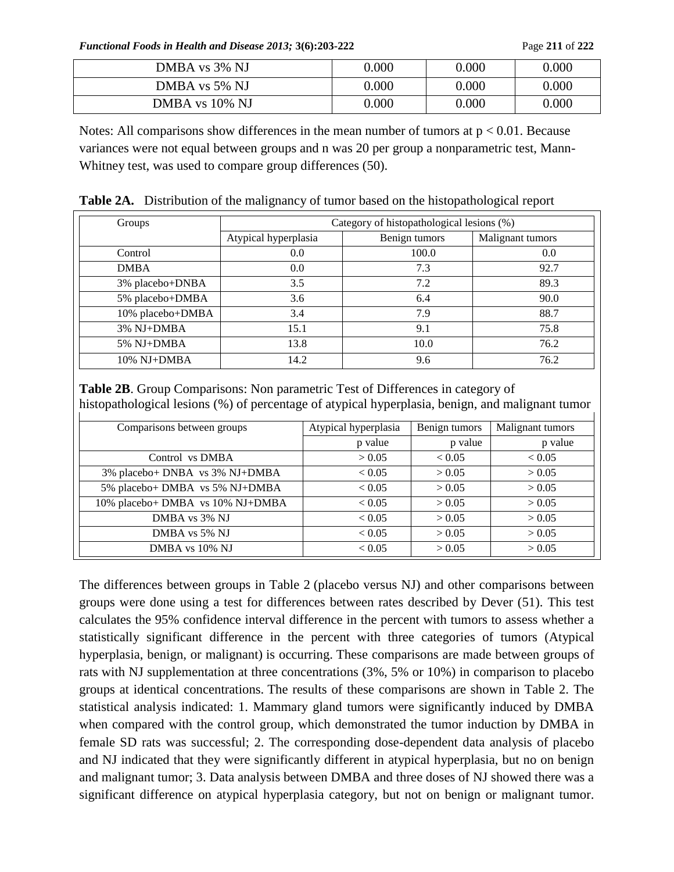*Functional Foods in Health and Disease 2013;* **3(6):203-222** Page **211** of **222**

| DMBA vs 3% NJ  | 0.000 | 0.000 | 0.000     |
|----------------|-------|-------|-----------|
| DMBA vs 5% NJ  | 0.000 | 0.000 | $0.000\,$ |
| DMBA vs 10% NJ | 0.000 | 0.000 | $0.000\,$ |

Notes: All comparisons show differences in the mean number of tumors at  $p < 0.01$ . Because variances were not equal between groups and n was 20 per group a nonparametric test, Mann-Whitney test, was used to compare group differences (50).

**Table 2A.** Distribution of the malignancy of tumor based on the histopathological report

| Groups           | Category of histopathological lesions (%) |               |                  |  |
|------------------|-------------------------------------------|---------------|------------------|--|
|                  | Atypical hyperplasia                      | Benign tumors | Malignant tumors |  |
| Control          | 0.0                                       | 100.0         | 0.0              |  |
| <b>DMBA</b>      | 0.0                                       | 7.3           | 92.7             |  |
| 3% placebo+DNBA  | 3.5                                       | 7.2           | 89.3             |  |
| 5% placebo+DMBA  | 3.6                                       | 6.4           | 90.0             |  |
| 10% placebo+DMBA | 3.4                                       | 7.9           | 88.7             |  |
| 3% NJ+DMBA       | 15.1                                      | 9.1           | 75.8             |  |
| 5% NJ+DMBA       | 13.8                                      | 10.0          | 76.2             |  |
| $10\%$ NJ+DMBA   | 14.2                                      | 9.6           | 76.2             |  |

**Table 2B**. Group Comparisons: Non parametric Test of Differences in category of histopathological lesions (%) of percentage of atypical hyperplasia, benign, and malignant tumor

| Comparisons between groups       | Atypical hyperplasia | Benign tumors | Malignant tumors |
|----------------------------------|----------------------|---------------|------------------|
|                                  | p value              | p value       | p value          |
| Control vs DMBA                  | > 0.05               | ${}_{< 0.05}$ | ${}_{< 0.05}$    |
| 3% placebo+ DNBA vs 3% NJ+DMBA   | ${}_{< 0.05}$        | > 0.05        | > 0.05           |
| 5% placebo+ DMBA vs 5% NJ+DMBA   | ${}_{< 0.05}$        | > 0.05        | > 0.05           |
| 10% placebo+ DMBA vs 10% NJ+DMBA | < 0.05               | > 0.05        | > 0.05           |
| DMBA vs 3% NJ                    | < 0.05               | > 0.05        | > 0.05           |
| DMBA vs 5% NJ                    | < 0.05               | > 0.05        | > 0.05           |
| DMBA vs 10% NJ                   | < 0.05               | > 0.05        | > 0.05           |

The differences between groups in Table 2 (placebo versus NJ) and other comparisons between groups were done using a test for differences between rates described by Dever (51). This test calculates the 95% confidence interval difference in the percent with tumors to assess whether a statistically significant difference in the percent with three categories of tumors (Atypical hyperplasia, benign, or malignant) is occurring. These comparisons are made between groups of rats with NJ supplementation at three concentrations (3%, 5% or 10%) in comparison to placebo groups at identical concentrations. The results of these comparisons are shown in Table 2. The statistical analysis indicated: 1. Mammary gland tumors were significantly induced by DMBA when compared with the control group, which demonstrated the tumor induction by DMBA in female SD rats was successful; 2. The corresponding dose-dependent data analysis of placebo and NJ indicated that they were significantly different in atypical hyperplasia, but no on benign and malignant tumor; 3. Data analysis between DMBA and three doses of NJ showed there was a significant difference on atypical hyperplasia category, but not on benign or malignant tumor.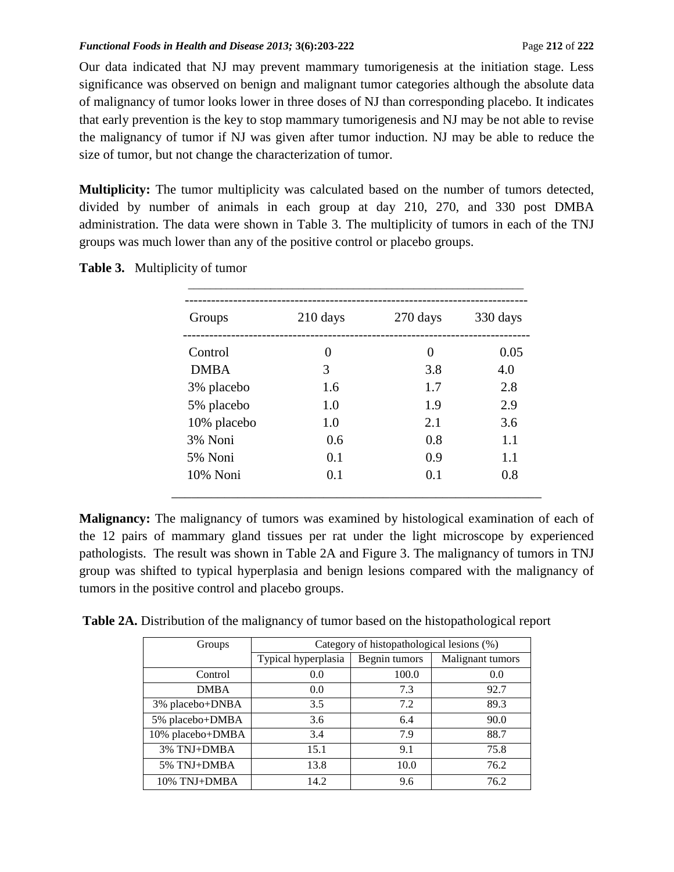Our data indicated that NJ may prevent mammary tumorigenesis at the initiation stage. Less significance was observed on benign and malignant tumor categories although the absolute data of malignancy of tumor looks lower in three doses of NJ than corresponding placebo. It indicates that early prevention is the key to stop mammary tumorigenesis and NJ may be not able to revise the malignancy of tumor if NJ was given after tumor induction. NJ may be able to reduce the size of tumor, but not change the characterization of tumor.

**Multiplicity:** The tumor multiplicity was calculated based on the number of tumors detected, divided by number of animals in each group at day 210, 270, and 330 post DMBA administration. The data were shown in Table 3. The multiplicity of tumors in each of the TNJ groups was much lower than any of the positive control or placebo groups.

| Groups      | $210$ days | 270 days | 330 days |
|-------------|------------|----------|----------|
| Control     | 0          | $\theta$ | 0.05     |
| <b>DMBA</b> | 3          | 3.8      | 4.0      |
| 3% placebo  | 1.6        | 1.7      | 2.8      |
| 5% placebo  | 1.0        | 1.9      | 2.9      |
| 10% placebo | 1.0        | 2.1      | 3.6      |
| 3% Noni     | 0.6        | 0.8      | 1.1      |
| 5% Noni     | 0.1        | 0.9      | 1.1      |
| 10% Noni    | 0.1        | 0.1      | 0.8      |

**Table 3.** Multiplicity of tumor

**Malignancy:** The malignancy of tumors was examined by histological examination of each of the 12 pairs of mammary gland tissues per rat under the light microscope by experienced pathologists. The result was shown in Table 2A and Figure 3. The malignancy of tumors in TNJ group was shifted to typical hyperplasia and benign lesions compared with the malignancy of tumors in the positive control and placebo groups.

**Table 2A.** Distribution of the malignancy of tumor based on the histopathological report

| Groups           | Category of histopathological lesions (%) |               |                  |  |
|------------------|-------------------------------------------|---------------|------------------|--|
|                  | Typical hyperplasia                       | Begnin tumors | Malignant tumors |  |
| Control          | 0.0                                       | 100.0         | 0.0              |  |
| <b>DMBA</b>      | 0.0                                       | 7.3           | 92.7             |  |
| 3% placebo+DNBA  | 3.5                                       | 7.2           | 89.3             |  |
| 5% placebo+DMBA  | 3.6                                       | 6.4           | 90.0             |  |
| 10% placebo+DMBA | 3.4                                       | 7.9           | 88.7             |  |
| 3% TNJ+DMBA      | 15.1                                      | 9.1           | 75.8             |  |
| 5% TNJ+DMBA      | 13.8                                      | 10.0          | 76.2             |  |
| 10% TNJ+DMBA     | 14.2                                      | 9.6           | 76.2             |  |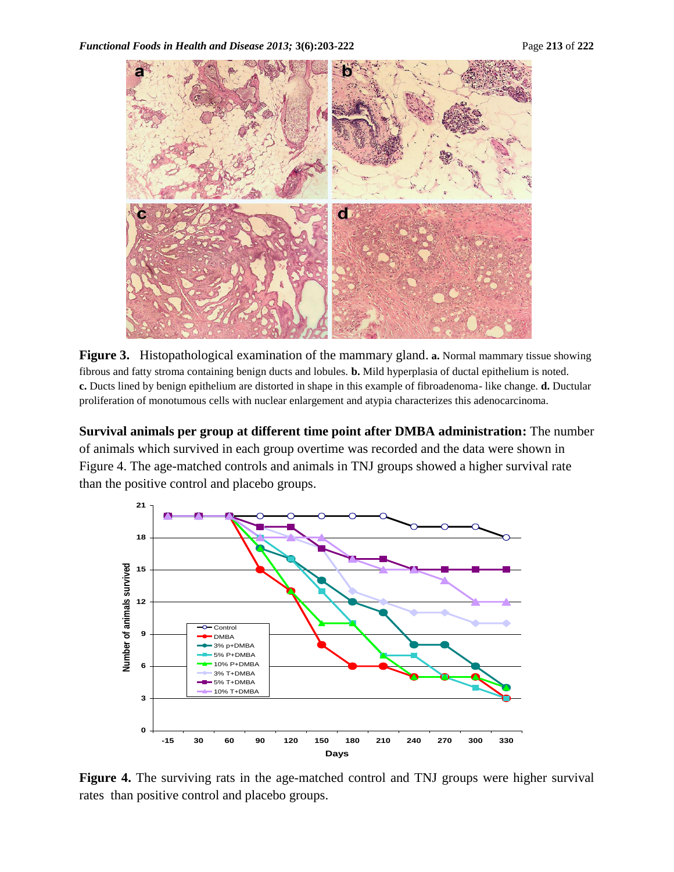

**Figure 3.** Histopathological examination of the mammary gland. **a.** Normal mammary tissue showing fibrous and fatty stroma containing benign ducts and lobules. **b.** Mild hyperplasia of ductal epithelium is noted. **c.** Ducts lined by benign epithelium are distorted in shape in this example of fibroadenoma- like change. **d.** Ductular proliferation of monotumous cells with nuclear enlargement and atypia characterizes this adenocarcinoma.

**Survival animals per group at different time point after DMBA administration:** The number of animals which survived in each group overtime was recorded and the data were shown in Figure 4. The age-matched controls and animals in TNJ groups showed a higher survival rate than the positive control and placebo groups.



**Figure 4.** The surviving rats in the age-matched control and TNJ groups were higher survival rates than positive control and placebo groups.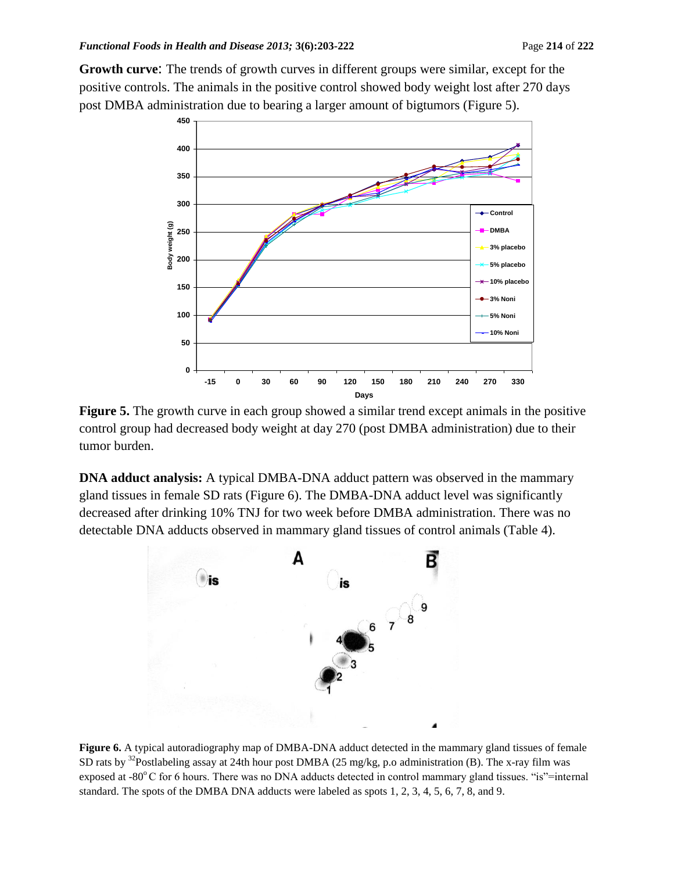**Growth curve**: The trends of growth curves in different groups were similar, except for the positive controls. The animals in the positive control showed body weight lost after 270 days post DMBA administration due to bearing a larger amount of bigtumors (Figure 5).



**Figure 5.** The growth curve in each group showed a similar trend except animals in the positive control group had decreased body weight at day 270 (post DMBA administration) due to their tumor burden.

**DNA adduct analysis:** A typical DMBA-DNA adduct pattern was observed in the mammary gland tissues in female SD rats (Figure 6). The DMBA-DNA adduct level was significantly decreased after drinking 10% TNJ for two week before DMBA administration. There was no detectable DNA adducts observed in mammary gland tissues of control animals (Table 4).



**Figure 6.** A typical autoradiography map of DMBA-DNA adduct detected in the mammary gland tissues of female SD rats by <sup>32</sup>Postlabeling assay at 24th hour post DMBA (25 mg/kg, p.o administration (B). The x-ray film was exposed at -80 $^{\circ}$ C for 6 hours. There was no DNA adducts detected in control mammary gland tissues. "is"=internal standard. The spots of the DMBA DNA adducts were labeled as spots 1, 2, 3, 4, 5, 6, 7, 8, and 9.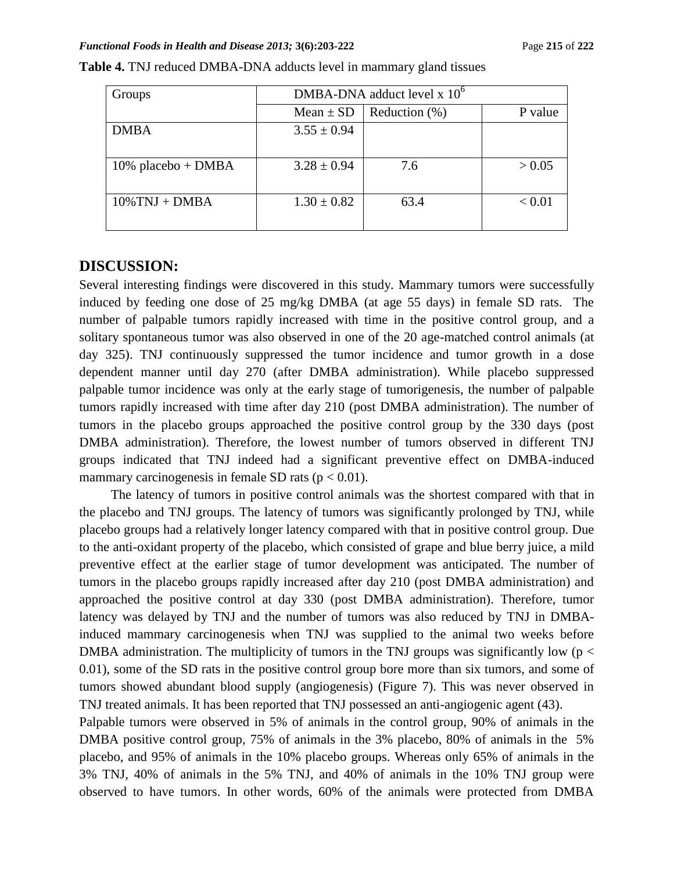| Groups                | DMBA-DNA adduct level $x$ 10 <sup>6</sup> |                  |         |  |
|-----------------------|-------------------------------------------|------------------|---------|--|
|                       | $Mean \pm SD$                             | Reduction $(\%)$ | P value |  |
| <b>DMBA</b>           | $3.55 \pm 0.94$                           |                  |         |  |
| $10\%$ placebo + DMBA | $3.28 \pm 0.94$                           | 7.6              | > 0.05  |  |
| $10\%$ TNJ + DMBA     | $1.30 \pm 0.82$                           | 63.4             | < 0.01  |  |

| Table 4. TNJ reduced DMBA-DNA adducts level in mammary gland tissues |  |
|----------------------------------------------------------------------|--|
|----------------------------------------------------------------------|--|

## **DISCUSSION:**

Several interesting findings were discovered in this study. Mammary tumors were successfully induced by feeding one dose of 25 mg/kg DMBA (at age 55 days) in female SD rats. The number of palpable tumors rapidly increased with time in the positive control group, and a solitary spontaneous tumor was also observed in one of the 20 age-matched control animals (at day 325). TNJ continuously suppressed the tumor incidence and tumor growth in a dose dependent manner until day 270 (after DMBA administration). While placebo suppressed palpable tumor incidence was only at the early stage of tumorigenesis, the number of palpable tumors rapidly increased with time after day 210 (post DMBA administration). The number of tumors in the placebo groups approached the positive control group by the 330 days (post DMBA administration). Therefore, the lowest number of tumors observed in different TNJ groups indicated that TNJ indeed had a significant preventive effect on DMBA-induced mammary carcinogenesis in female SD rats ( $p < 0.01$ ).

The latency of tumors in positive control animals was the shortest compared with that in the placebo and TNJ groups. The latency of tumors was significantly prolonged by TNJ, while placebo groups had a relatively longer latency compared with that in positive control group. Due to the anti-oxidant property of the placebo, which consisted of grape and blue berry juice, a mild preventive effect at the earlier stage of tumor development was anticipated. The number of tumors in the placebo groups rapidly increased after day 210 (post DMBA administration) and approached the positive control at day 330 (post DMBA administration). Therefore, tumor latency was delayed by TNJ and the number of tumors was also reduced by TNJ in DMBAinduced mammary carcinogenesis when TNJ was supplied to the animal two weeks before DMBA administration. The multiplicity of tumors in the TNJ groups was significantly low ( $p <$ 0.01), some of the SD rats in the positive control group bore more than six tumors, and some of tumors showed abundant blood supply (angiogenesis) (Figure 7). This was never observed in TNJ treated animals. It has been reported that TNJ possessed an anti-angiogenic agent (43).

Palpable tumors were observed in 5% of animals in the control group, 90% of animals in the DMBA positive control group, 75% of animals in the 3% placebo, 80% of animals in the 5% placebo, and 95% of animals in the 10% placebo groups. Whereas only 65% of animals in the 3% TNJ, 40% of animals in the 5% TNJ, and 40% of animals in the 10% TNJ group were observed to have tumors. In other words, 60% of the animals were protected from DMBA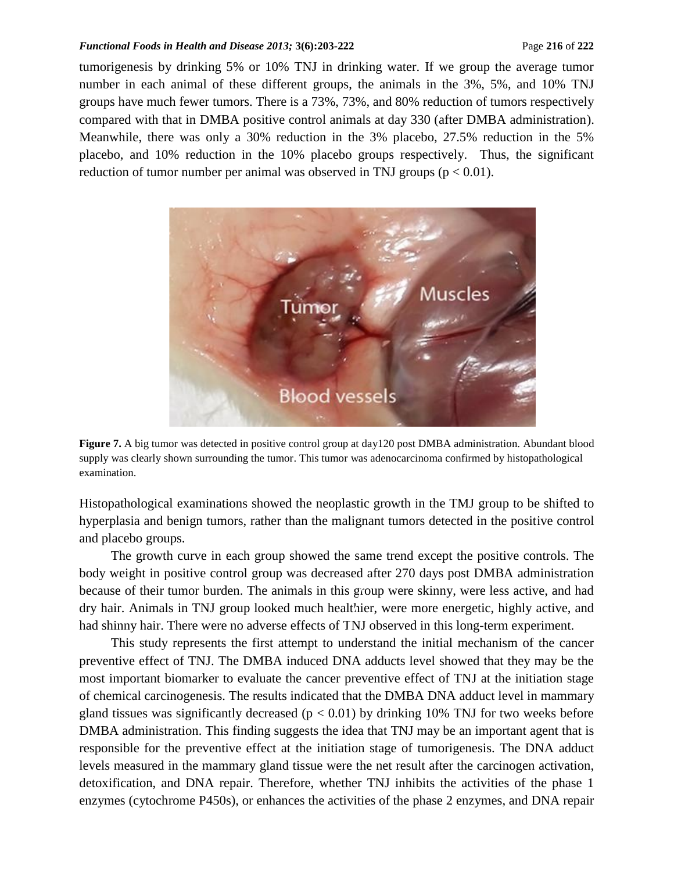#### *Functional Foods in Health and Disease 2013;* 3(6):203-222 **Page 216** of 222 **Page 216** of 222

tumorigenesis by drinking 5% or 10% TNJ in drinking water. If we group the average tumor number in each animal of these different groups, the animals in the 3%, 5%, and 10% TNJ groups have much fewer tumors. There is a 73%, 73%, and 80% reduction of tumors respectively compared with that in DMBA positive control animals at day 330 (after DMBA administration). Meanwhile, there was only a 30% reduction in the 3% placebo, 27.5% reduction in the 5% placebo, and 10% reduction in the 10% placebo groups respectively. Thus, the significant reduction of tumor number per animal was observed in TNJ groups ( $p < 0.01$ ).



**Figure 7.** A big tumor was detected in positive control group at day120 post DMBA administration. Abundant blood supply was clearly shown surrounding the tumor. This tumor was adenocarcinoma confirmed by histopathological examination.

Histopathological examinations showed the neoplastic growth in the TMJ group to be shifted to hyperplasia and benign tumors, rather than the malignant tumors detected in the positive control and placebo groups.

The growth curve in each group showed the same trend except the positive controls. The body weight in positive control group was decreased after 270 days post DMBA administration because of their tumor burden. The animals in this group were skinny, were less active, and had dry hair. Animals in TNJ group looked much healthier, were more energetic, highly active, and had shinny hair. There were no adverse effects of TNJ observed in this long-term experiment.

This study represents the first attempt to understand the initial mechanism of the cancer preventive effect of TNJ. The DMBA induced DNA adducts level showed that they may be the most important biomarker to evaluate the cancer preventive effect of TNJ at the initiation stage of chemical carcinogenesis. The results indicated that the DMBA DNA adduct level in mammary gland tissues was significantly decreased ( $p < 0.01$ ) by drinking 10% TNJ for two weeks before DMBA administration. This finding suggests the idea that TNJ may be an important agent that is responsible for the preventive effect at the initiation stage of tumorigenesis. The DNA adduct levels measured in the mammary gland tissue were the net result after the carcinogen activation, detoxification, and DNA repair. Therefore, whether TNJ inhibits the activities of the phase 1 enzymes (cytochrome P450s), or enhances the activities of the phase 2 enzymes, and DNA repair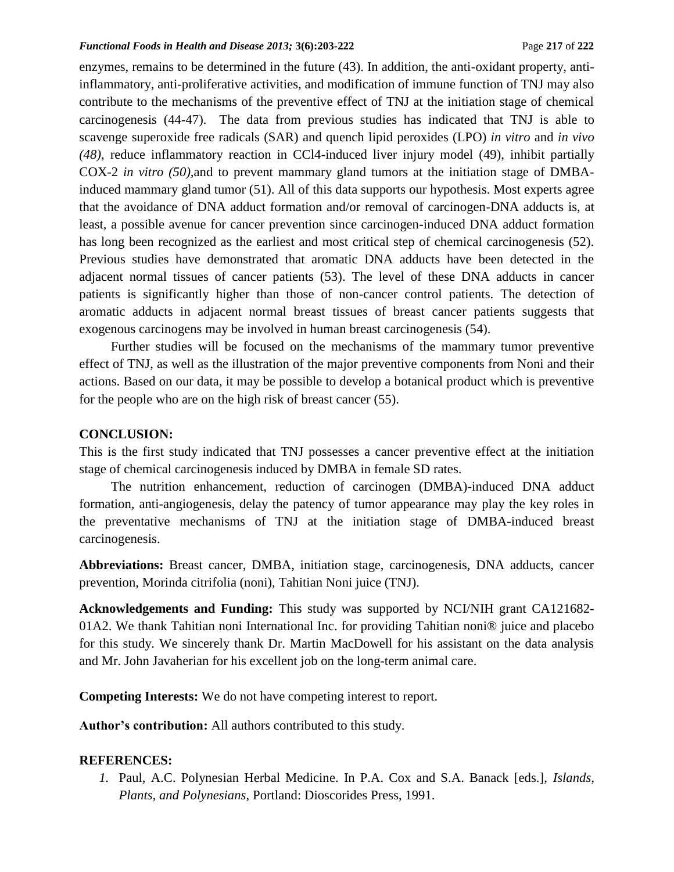enzymes, remains to be determined in the future (43). In addition, the anti-oxidant property, antiinflammatory, anti-proliferative activities, and modification of immune function of TNJ may also contribute to the mechanisms of the preventive effect of TNJ at the initiation stage of chemical carcinogenesis (44-47). The data from previous studies has indicated that TNJ is able to scavenge superoxide free radicals (SAR) and quench lipid peroxides (LPO) *in vitro* and *in vivo (48)*, reduce inflammatory reaction in CCl4-induced liver injury model (49), inhibit partially COX-2 *in vitro (50),*and to prevent mammary gland tumors at the initiation stage of DMBAinduced mammary gland tumor (51). All of this data supports our hypothesis. Most experts agree that the avoidance of DNA adduct formation and/or removal of carcinogen-DNA adducts is, at least, a possible avenue for cancer prevention since carcinogen-induced DNA adduct formation has long been recognized as the earliest and most critical step of chemical carcinogenesis (52). Previous studies have demonstrated that aromatic DNA adducts have been detected in the adjacent normal tissues of cancer patients (53). The level of these DNA adducts in cancer patients is significantly higher than those of non-cancer control patients. The detection of aromatic adducts in adjacent normal breast tissues of breast cancer patients suggests that exogenous carcinogens may be involved in human breast carcinogenesis (54).

Further studies will be focused on the mechanisms of the mammary tumor preventive effect of TNJ, as well as the illustration of the major preventive components from Noni and their actions. Based on our data, it may be possible to develop a botanical product which is preventive for the people who are on the high risk of breast cancer (55).

## **CONCLUSION:**

This is the first study indicated that TNJ possesses a cancer preventive effect at the initiation stage of chemical carcinogenesis induced by DMBA in female SD rates.

The nutrition enhancement, reduction of carcinogen (DMBA)-induced DNA adduct formation, anti-angiogenesis, delay the patency of tumor appearance may play the key roles in the preventative mechanisms of TNJ at the initiation stage of DMBA-induced breast carcinogenesis.

**Abbreviations:** Breast cancer, DMBA, initiation stage, carcinogenesis, DNA adducts, cancer prevention, Morinda citrifolia (noni), Tahitian Noni juice (TNJ).

**Acknowledgements and Funding:** This study was supported by NCI/NIH grant CA121682- 01A2. We thank Tahitian noni International Inc. for providing Tahitian noni® juice and placebo for this study. We sincerely thank Dr. Martin MacDowell for his assistant on the data analysis and Mr. John Javaherian for his excellent job on the long-term animal care.

**Competing Interests:** We do not have competing interest to report.

**Author's contribution:** All authors contributed to this study.

#### **REFERENCES:**

*1.* Paul, A.C. Polynesian Herbal Medicine. In P.A. Cox and S.A. Banack [eds.], *Islands, Plants, and Polynesians*, Portland: Dioscorides Press, 1991.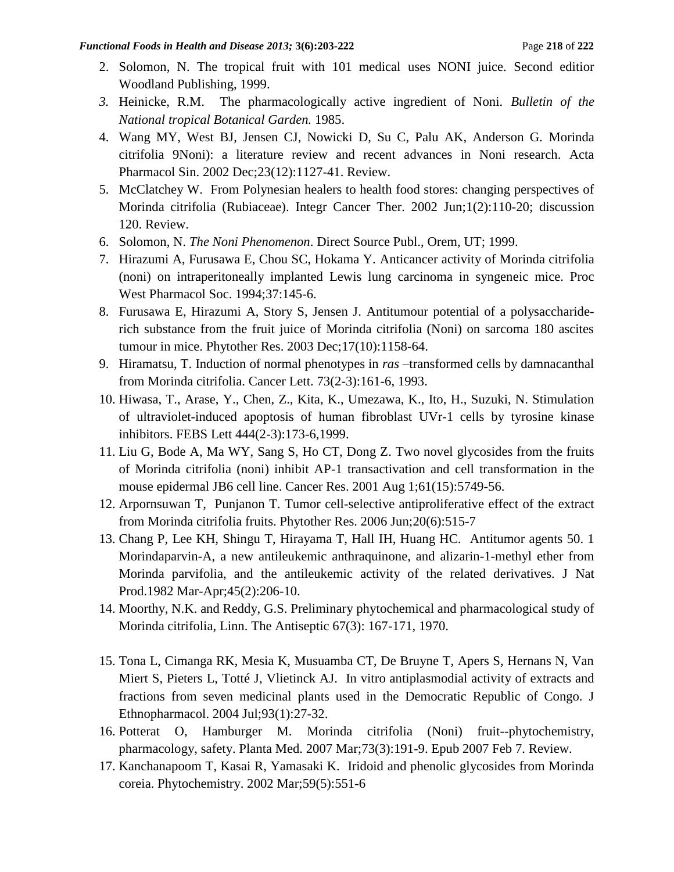- 2. Solomon, N. The tropical fruit with 101 medical uses NONI juice. Second editior Woodland Publishing, 1999.
- *3.* Heinicke, R.M. The pharmacologically active ingredient of Noni. *Bulletin of the National tropical Botanical Garden.* 1985.
- 4. [Wang MY, West BJ, Jensen CJ, Nowicki D, Su C, Palu AK, Anderson G.](http://www.ncbi.nlm.nih.gov/pubmed/12466051?ordinalpos=9&itool=EntrezSystem2.PEntrez.Pubmed.Pubmed_ResultsPanel.Pubmed_RVDocSum) Morinda citrifolia 9Noni): a literature review and recent advances in Noni research. Acta Pharmacol Sin. 2002 Dec;23(12):1127-41. Review.
- 5. [McClatchey W.](http://www.ncbi.nlm.nih.gov/pubmed/14664736?ordinalpos=8&itool=EntrezSystem2.PEntrez.Pubmed.Pubmed_ResultsPanel.Pubmed_RVDocSum) From Polynesian healers to health food stores: changing perspectives of Morinda citrifolia (Rubiaceae). Integr Cancer Ther. 2002 Jun;1(2):110-20; discussion 120. Review.
- 6. Solomon, N. *The Noni Phenomenon*. Direct Source Publ., Orem, UT; 1999.
- 7. [Hirazumi A, Furusawa E, Chou SC, Hokama Y.](http://www.ncbi.nlm.nih.gov/pubmed/7984648?ordinalpos=13&itool=EntrezSystem2.PEntrez.Pubmed.Pubmed_ResultsPanel.Pubmed_RVDocSum) Anticancer activity of Morinda citrifolia (noni) on intraperitoneally implanted Lewis lung carcinoma in syngeneic mice. Proc West Pharmacol Soc. 1994;37:145-6.
- 8. [Furusawa E, Hirazumi A, Story S, Jensen J.](http://www.ncbi.nlm.nih.gov/pubmed/14669249?ordinalpos=2&itool=EntrezSystem2.PEntrez.Pubmed.Pubmed_ResultsPanel.Pubmed_RVDocSum) Antitumour potential of a polysacchariderich substance from the fruit juice of Morinda citrifolia (Noni) on sarcoma 180 ascites tumour in mice. Phytother Res. 2003 Dec;17(10):1158-64.
- 9. Hiramatsu, T. Induction of normal phenotypes in *ras* –transformed cells by damnacanthal from Morinda citrifolia. Cancer Lett. 73(2-3):161-6, 1993.
- 10. Hiwasa, T., Arase, Y., Chen, Z., Kita, K., Umezawa, K., Ito, H., Suzuki, N. Stimulation of ultraviolet-induced apoptosis of human fibroblast UVr-1 cells by tyrosine kinase inhibitors. FEBS Lett 444(2-3):173-6,1999.
- 11. [Liu G,](http://www.ncbi.nlm.nih.gov/sites/entrez?Db=pubmed&Cmd=Search&Term=%22Liu%20G%22%5BAuthor%5D&itool=EntrezSystem2.PEntrez.Pubmed.Pubmed_ResultsPanel.Pubmed_DiscoveryPanel.Pubmed_RVAbstractPlus) [Bode A,](http://www.ncbi.nlm.nih.gov/sites/entrez?Db=pubmed&Cmd=Search&Term=%22Bode%20A%22%5BAuthor%5D&itool=EntrezSystem2.PEntrez.Pubmed.Pubmed_ResultsPanel.Pubmed_DiscoveryPanel.Pubmed_RVAbstractPlus) [Ma WY,](http://www.ncbi.nlm.nih.gov/sites/entrez?Db=pubmed&Cmd=Search&Term=%22Ma%20WY%22%5BAuthor%5D&itool=EntrezSystem2.PEntrez.Pubmed.Pubmed_ResultsPanel.Pubmed_DiscoveryPanel.Pubmed_RVAbstractPlus) [Sang S,](http://www.ncbi.nlm.nih.gov/sites/entrez?Db=pubmed&Cmd=Search&Term=%22Sang%20S%22%5BAuthor%5D&itool=EntrezSystem2.PEntrez.Pubmed.Pubmed_ResultsPanel.Pubmed_DiscoveryPanel.Pubmed_RVAbstractPlus) [Ho CT,](http://www.ncbi.nlm.nih.gov/sites/entrez?Db=pubmed&Cmd=Search&Term=%22Ho%20CT%22%5BAuthor%5D&itool=EntrezSystem2.PEntrez.Pubmed.Pubmed_ResultsPanel.Pubmed_DiscoveryPanel.Pubmed_RVAbstractPlus) [Dong Z.](http://www.ncbi.nlm.nih.gov/sites/entrez?Db=pubmed&Cmd=Search&Term=%22Dong%20Z%22%5BAuthor%5D&itool=EntrezSystem2.PEntrez.Pubmed.Pubmed_ResultsPanel.Pubmed_DiscoveryPanel.Pubmed_RVAbstractPlus) Two novel glycosides from the fruits of Morinda citrifolia (noni) inhibit AP-1 transactivation and cell transformation in the mouse epidermal JB6 cell line. [Cancer Res.](javascript:AL_get(this,%20) 2001 Aug 1;61(15):5749-56.
- 12. [Arpornsuwan T, Punjanon T.](http://www.ncbi.nlm.nih.gov/pubmed/16619339?ordinalpos=4&itool=EntrezSystem2.PEntrez.Pubmed.Pubmed_ResultsPanel.Pubmed_RVDocSum) Tumor cell-selective antiproliferative effect of the extract from Morinda citrifolia fruits. Phytother Res. 2006 Jun;20(6):515-7
- 13. [Chang P, Lee KH, Shingu T, Hirayama T, Hall IH, Huang HC.](http://www.ncbi.nlm.nih.gov/pubmed/7097296?ordinalpos=17&itool=EntrezSystem2.PEntrez.Pubmed.Pubmed_ResultsPanel.Pubmed_RVDocSum) Antitumor agents 50. 1 Morindaparvin-A, a new antileukemic anthraquinone, and alizarin-1-methyl ether from Morinda parvifolia, and the antileukemic activity of the related derivatives. J Nat Prod.1982 Mar-Apr;45(2):206-10.
- 14. Moorthy, N.K. and Reddy, G.S. Preliminary phytochemical and pharmacological study of Morinda citrifolia, Linn. The Antiseptic 67(3): 167-171, 1970.
- 15. [Tona L, Cimanga RK, Mesia K, Musuamba CT, De Bruyne T, Apers S, Hernans N, Van](http://www.ncbi.nlm.nih.gov/pubmed/15182900?ordinalpos=7&itool=EntrezSystem2.PEntrez.Pubmed.Pubmed_ResultsPanel.Pubmed_RVDocSum)  [Miert S, Pieters L, Totté J, Vlietinck AJ.](http://www.ncbi.nlm.nih.gov/pubmed/15182900?ordinalpos=7&itool=EntrezSystem2.PEntrez.Pubmed.Pubmed_ResultsPanel.Pubmed_RVDocSum) In vitro antiplasmodial activity of extracts and fractions from seven medicinal plants used in the Democratic Republic of Congo. J Ethnopharmacol. 2004 Jul;93(1):27-32.
- 16. [Potterat O, Hamburger M.](http://www.ncbi.nlm.nih.gov/pubmed/17286240?ordinalpos=1&itool=EntrezSystem2.PEntrez.Pubmed.Pubmed_ResultsPanel.Pubmed_RVDocSum) Morinda citrifolia (Noni) fruit--phytochemistry, pharmacology, safety. Planta Med. 2007 Mar;73(3):191-9. Epub 2007 Feb 7. Review.
- 17. [Kanchanapoom T, Kasai R, Yamasaki K.](http://www.ncbi.nlm.nih.gov/pubmed/11853751?ordinalpos=3&itool=EntrezSystem2.PEntrez.Pubmed.Pubmed_ResultsPanel.Pubmed_RVDocSum) Iridoid and phenolic glycosides from Morinda coreia. Phytochemistry. 2002 Mar;59(5):551-6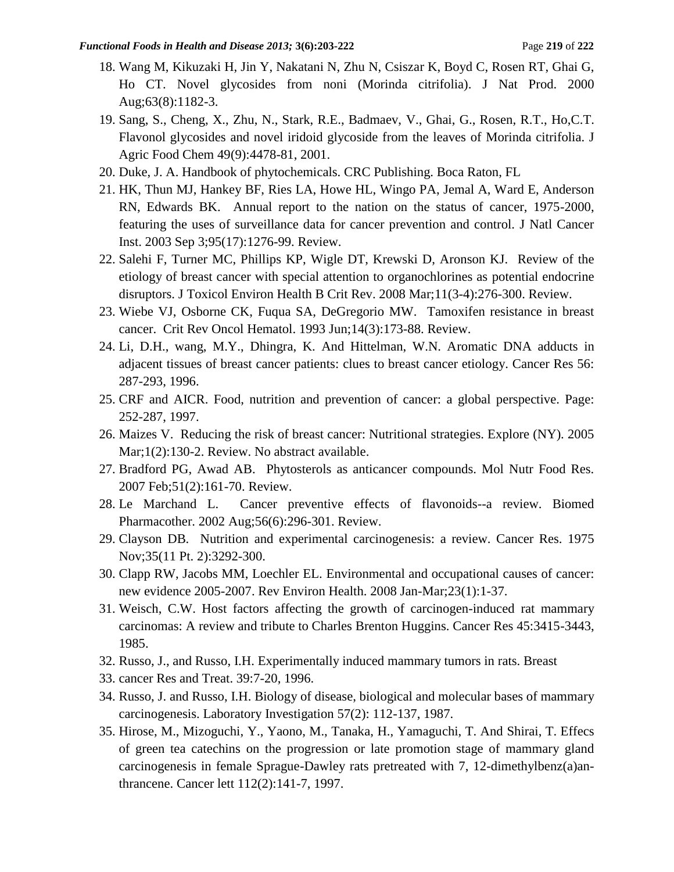- 18. [Wang M, Kikuzaki H, Jin Y, Nakatani N, Zhu N, Csiszar K, Boyd C, Rosen RT, Ghai G,](http://www.ncbi.nlm.nih.gov/pubmed/10978225?ordinalpos=72&itool=EntrezSystem2.PEntrez.Pubmed.Pubmed_ResultsPanel.Pubmed_RVDocSum)  [Ho CT.](http://www.ncbi.nlm.nih.gov/pubmed/10978225?ordinalpos=72&itool=EntrezSystem2.PEntrez.Pubmed.Pubmed_ResultsPanel.Pubmed_RVDocSum) Novel glycosides from noni (Morinda citrifolia). J Nat Prod. 2000 Aug;63(8):1182-3.
- 19. Sang, S., Cheng, X., Zhu, N., Stark, R.E., Badmaev, V., Ghai, G., Rosen, R.T., Ho,C.T. Flavonol glycosides and novel iridoid glycoside from the leaves of Morinda citrifolia. J Agric Food Chem 49(9):4478-81, 2001.
- 20. Duke, J. A. Handbook of phytochemicals. CRC Publishing. Boca Raton, FL
- 21. [HK, Thun MJ, Hankey BF, Ries LA, Howe HL, Wingo PA, Jemal A, Ward E, Anderson](http://www.ncbi.nlm.nih.gov/pubmed/12953083?ordinalpos=6&itool=EntrezSystem2.PEntrez.Pubmed.Pubmed_ResultsPanel.Pubmed_RVDocSum)  [RN, Edwards BK.](http://www.ncbi.nlm.nih.gov/pubmed/12953083?ordinalpos=6&itool=EntrezSystem2.PEntrez.Pubmed.Pubmed_ResultsPanel.Pubmed_RVDocSum) Annual report to the nation on the status of cancer, 1975-2000, featuring the uses of surveillance data for cancer prevention and control. J Natl Cancer Inst. 2003 Sep 3;95(17):1276-99. Review.
- 22. [Salehi F, Turner MC, Phillips KP, Wigle DT, Krewski D, Aronson KJ.](http://www.ncbi.nlm.nih.gov/pubmed/18368557?ordinalpos=20&itool=EntrezSystem2.PEntrez.Pubmed.Pubmed_ResultsPanel.Pubmed_RVDocSum) Review of the etiology of breast cancer with special attention to organochlorines as potential endocrine disruptors. J Toxicol Environ Health B Crit Rev. 2008 Mar;11(3-4):276-300. Review.
- 23. Wiebe VJ, [Osborne CK, Fuqua SA, DeGregorio MW.](http://www.ncbi.nlm.nih.gov/pubmed/8397846?ordinalpos=15&itool=EntrezSystem2.PEntrez.Pubmed.Pubmed_ResultsPanel.Pubmed_RVDocSum) Tamoxifen resistance in breast cancer. Crit Rev Oncol Hematol. 1993 Jun;14(3):173-88. Review.
- 24. Li, D.H., wang, M.Y., Dhingra, K. And Hittelman, W.N. Aromatic DNA adducts in adjacent tissues of breast cancer patients: clues to breast cancer etiology. Cancer Res 56: 287-293, 1996.
- 25. CRF and AICR. Food, nutrition and prevention of cancer: a global perspective. Page: 252-287, 1997.
- 26. [Maizes V.](http://www.ncbi.nlm.nih.gov/pubmed/16781514?ordinalpos=24&itool=EntrezSystem2.PEntrez.Pubmed.Pubmed_ResultsPanel.Pubmed_RVDocSum) Reducing the risk of breast cancer: Nutritional strategies. Explore (NY). 2005 Mar;1(2):130-2. Review. No abstract available.
- 27. [Bradford PG, Awad AB.](http://www.ncbi.nlm.nih.gov/pubmed/17266177?ordinalpos=4&itool=EntrezSystem2.PEntrez.Pubmed.Pubmed_ResultsPanel.Pubmed_RVDocSum) Phytosterols as anticancer compounds. Mol Nutr Food Res. 2007 Feb;51(2):161-70. Review.
- 28. [Le Marchand L.](http://www.ncbi.nlm.nih.gov/pubmed/12224601?ordinalpos=15&itool=EntrezSystem2.PEntrez.Pubmed.Pubmed_ResultsPanel.Pubmed_RVDocSum) Cancer preventive effects of flavonoids--a review. Biomed Pharmacother. 2002 Aug;56(6):296-301. Review.
- 29. [Clayson DB.](http://www.ncbi.nlm.nih.gov/pubmed/53097?ordinalpos=17&itool=EntrezSystem2.PEntrez.Pubmed.Pubmed_ResultsPanel.Pubmed_RVDocSum) Nutrition and experimental carcinogenesis: a review. Cancer Res. 1975 Nov;35(11 Pt. 2):3292-300.
- 30. [Clapp RW, Jacobs MM, Loechler EL.](http://www.ncbi.nlm.nih.gov/pubmed/18557596?ordinalpos=1&itool=EntrezSystem2.PEntrez.Pubmed.Pubmed_ResultsPanel.Pubmed_RVDocSum) Environmental and occupational causes of cancer: new evidence 2005-2007. Rev Environ Health. 2008 Jan-Mar;23(1):1-37.
- 31. Weisch, C.W. Host factors affecting the growth of carcinogen-induced rat mammary carcinomas: A review and tribute to Charles Brenton Huggins. Cancer Res 45:3415-3443, 1985.
- 32. Russo, J., and Russo, I.H. Experimentally induced mammary tumors in rats. Breast
- 33. cancer Res and Treat. 39:7-20, 1996.
- 34. Russo, J. and Russo, I.H. Biology of disease, biological and molecular bases of mammary carcinogenesis. Laboratory Investigation 57(2): 112-137, 1987.
- 35. Hirose, M., Mizoguchi, Y., Yaono, M., Tanaka, H., Yamaguchi, T. And Shirai, T. Effecs of green tea catechins on the progression or late promotion stage of mammary gland carcinogenesis in female Sprague-Dawley rats pretreated with 7, 12-dimethylbenz(a)anthrancene. Cancer lett 112(2):141-7, 1997.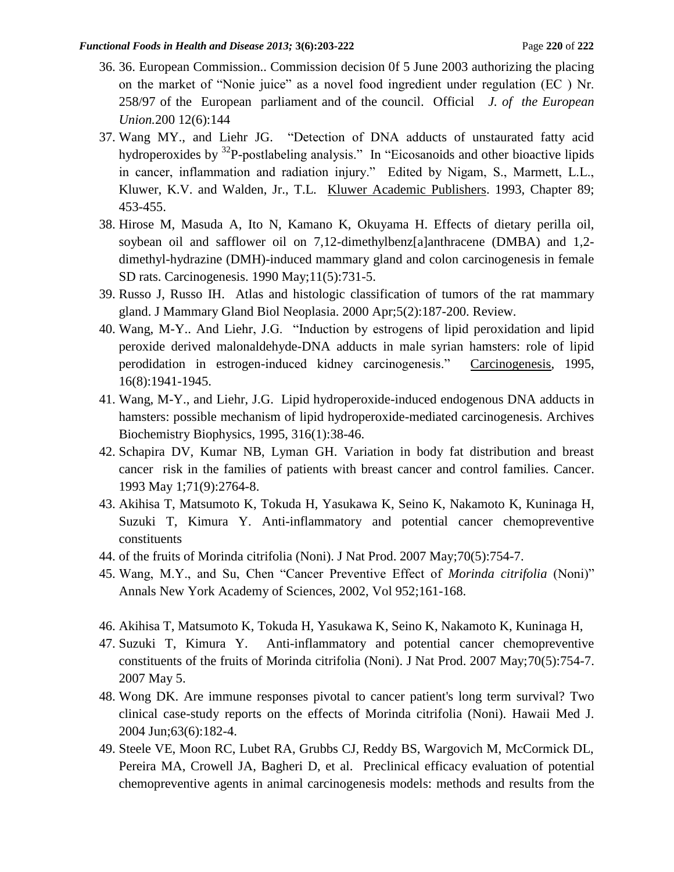- 36. 36. European Commission.. Commission decision 0f 5 June 2003 authorizing the placing on the market of "Nonie juice" as a novel food ingredient under regulation (EC ) Nr. 258/97 of the European parliament and of the council. Official *J. of the European Union.*200 12(6):144
- 37. Wang MY., and Liehr JG. "Detection of DNA adducts of unstaurated fatty acid hydroperoxides by  $32P$ -postlabeling analysis." In "Eicosanoids and other bioactive lipids in cancer, inflammation and radiation injury." Edited by Nigam, S., Marmett, L.L., Kluwer, K.V. and Walden, Jr., T.L. Kluwer Academic Publishers. 1993, Chapter 89; 453-455.
- 38. [Hirose M,](http://www.ncbi.nlm.nih.gov/sites/entrez?Db=pubmed&Cmd=Search&Term=%22Hirose%20M%22%5BAuthor%5D&itool=EntrezSystem2.PEntrez.Pubmed.Pubmed_ResultsPanel.Pubmed_DiscoveryPanel.Pubmed_RVAbstractPlus) [Masuda A,](http://www.ncbi.nlm.nih.gov/sites/entrez?Db=pubmed&Cmd=Search&Term=%22Masuda%20A%22%5BAuthor%5D&itool=EntrezSystem2.PEntrez.Pubmed.Pubmed_ResultsPanel.Pubmed_DiscoveryPanel.Pubmed_RVAbstractPlus) [Ito N,](http://www.ncbi.nlm.nih.gov/sites/entrez?Db=pubmed&Cmd=Search&Term=%22Ito%20N%22%5BAuthor%5D&itool=EntrezSystem2.PEntrez.Pubmed.Pubmed_ResultsPanel.Pubmed_DiscoveryPanel.Pubmed_RVAbstractPlus) [Kamano K,](http://www.ncbi.nlm.nih.gov/sites/entrez?Db=pubmed&Cmd=Search&Term=%22Kamano%20K%22%5BAuthor%5D&itool=EntrezSystem2.PEntrez.Pubmed.Pubmed_ResultsPanel.Pubmed_DiscoveryPanel.Pubmed_RVAbstractPlus) [Okuyama H.](http://www.ncbi.nlm.nih.gov/sites/entrez?Db=pubmed&Cmd=Search&Term=%22Okuyama%20H%22%5BAuthor%5D&itool=EntrezSystem2.PEntrez.Pubmed.Pubmed_ResultsPanel.Pubmed_DiscoveryPanel.Pubmed_RVAbstractPlus) Effects of dietary perilla oil, soybean oil and safflower oil on 7,12-dimethylbenz[a]anthracene (DMBA) and 1,2 dimethyl-hydrazine (DMH)-induced mammary gland and colon carcinogenesis in female SD rats. [Carcinogenesis.](javascript:AL_get(this,%20) 1990 May;11(5):731-5.
- 39. [Russo J, Russo IH.](http://www.ncbi.nlm.nih.gov/pubmed/11149572?ordinalpos=1&itool=EntrezSystem2.PEntrez.Pubmed.Pubmed_ResultsPanel.Pubmed_RVDocSum) Atlas and histologic classification of tumors of the rat mammary gland. J Mammary Gland Biol Neoplasia. 2000 Apr;5(2):187-200. Review.
- 40. Wang, M-Y.. And Liehr, J.G. "Induction by estrogens of lipid peroxidation and lipid peroxide derived malonaldehyde-DNA adducts in male syrian hamsters: role of lipid perodidation in estrogen-induced kidney carcinogenesis." Carcinogenesis, 1995, 16(8):1941-1945.
- 41. Wang, M-Y., and Liehr, J.G. Lipid hydroperoxide-induced endogenous DNA adducts in hamsters: possible mechanism of lipid hydroperoxide-mediated carcinogenesis. Archives Biochemistry Biophysics, 1995, 316(1):38-46.
- 42. [Schapira DV, Kumar NB, Lyman GH.](http://www.ncbi.nlm.nih.gov/pubmed/8467456?ordinalpos=6&itool=EntrezSystem2.PEntrez.Pubmed.Pubmed_ResultsPanel.Pubmed_RVDocSum) Variation in body fat distribution and breast cancer risk in the families of patients with breast cancer and control families. Cancer. 1993 May 1;71(9):2764-8.
- 43. [Akihisa T,](http://www.ncbi.nlm.nih.gov/sites/entrez?Db=pubmed&Cmd=Search&Term=%22Akihisa%20T%22%5BAuthor%5D&itool=EntrezSystem2.PEntrez.Pubmed.Pubmed_ResultsPanel.Pubmed_DiscoveryPanel.Pubmed_RVAbstractPlus) [Matsumoto K,](http://www.ncbi.nlm.nih.gov/sites/entrez?Db=pubmed&Cmd=Search&Term=%22Matsumoto%20K%22%5BAuthor%5D&itool=EntrezSystem2.PEntrez.Pubmed.Pubmed_ResultsPanel.Pubmed_DiscoveryPanel.Pubmed_RVAbstractPlus) [Tokuda H,](http://www.ncbi.nlm.nih.gov/sites/entrez?Db=pubmed&Cmd=Search&Term=%22Tokuda%20H%22%5BAuthor%5D&itool=EntrezSystem2.PEntrez.Pubmed.Pubmed_ResultsPanel.Pubmed_DiscoveryPanel.Pubmed_RVAbstractPlus) [Yasukawa K,](http://www.ncbi.nlm.nih.gov/sites/entrez?Db=pubmed&Cmd=Search&Term=%22Yasukawa%20K%22%5BAuthor%5D&itool=EntrezSystem2.PEntrez.Pubmed.Pubmed_ResultsPanel.Pubmed_DiscoveryPanel.Pubmed_RVAbstractPlus) [Seino K,](http://www.ncbi.nlm.nih.gov/sites/entrez?Db=pubmed&Cmd=Search&Term=%22Seino%20K%22%5BAuthor%5D&itool=EntrezSystem2.PEntrez.Pubmed.Pubmed_ResultsPanel.Pubmed_DiscoveryPanel.Pubmed_RVAbstractPlus) [Nakamoto K,](http://www.ncbi.nlm.nih.gov/sites/entrez?Db=pubmed&Cmd=Search&Term=%22Nakamoto%20K%22%5BAuthor%5D&itool=EntrezSystem2.PEntrez.Pubmed.Pubmed_ResultsPanel.Pubmed_DiscoveryPanel.Pubmed_RVAbstractPlus) [Kuninaga H,](http://www.ncbi.nlm.nih.gov/sites/entrez?Db=pubmed&Cmd=Search&Term=%22Kuninaga%20H%22%5BAuthor%5D&itool=EntrezSystem2.PEntrez.Pubmed.Pubmed_ResultsPanel.Pubmed_DiscoveryPanel.Pubmed_RVAbstractPlus) [Suzuki T,](http://www.ncbi.nlm.nih.gov/sites/entrez?Db=pubmed&Cmd=Search&Term=%22Suzuki%20T%22%5BAuthor%5D&itool=EntrezSystem2.PEntrez.Pubmed.Pubmed_ResultsPanel.Pubmed_DiscoveryPanel.Pubmed_RVAbstractPlus) [Kimura Y.](http://www.ncbi.nlm.nih.gov/sites/entrez?Db=pubmed&Cmd=Search&Term=%22Kimura%20Y%22%5BAuthor%5D&itool=EntrezSystem2.PEntrez.Pubmed.Pubmed_ResultsPanel.Pubmed_DiscoveryPanel.Pubmed_RVAbstractPlus) Anti-inflammatory and potential cancer chemopreventive constituents
- 44. of the fruits of Morinda citrifolia (Noni). J Nat Prod. 2007 May;70(5):754-7.
- 45. Wang, M.Y., and Su, Chen "Cancer Preventive Effect of *Morinda citrifolia* (Noni)" Annals New York Academy of Sciences, 2002, Vol 952;161-168.
- 46. [Akihisa T,](http://www.ncbi.nlm.nih.gov/sites/entrez?Db=pubmed&Cmd=Search&Term=%22Akihisa%20T%22%5BAuthor%5D&itool=EntrezSystem2.PEntrez.Pubmed.Pubmed_ResultsPanel.Pubmed_DiscoveryPanel.Pubmed_RVAbstractPlus) [Matsumoto K,](http://www.ncbi.nlm.nih.gov/sites/entrez?Db=pubmed&Cmd=Search&Term=%22Matsumoto%20K%22%5BAuthor%5D&itool=EntrezSystem2.PEntrez.Pubmed.Pubmed_ResultsPanel.Pubmed_DiscoveryPanel.Pubmed_RVAbstractPlus) [Tokuda H,](http://www.ncbi.nlm.nih.gov/sites/entrez?Db=pubmed&Cmd=Search&Term=%22Tokuda%20H%22%5BAuthor%5D&itool=EntrezSystem2.PEntrez.Pubmed.Pubmed_ResultsPanel.Pubmed_DiscoveryPanel.Pubmed_RVAbstractPlus) [Yasukawa K,](http://www.ncbi.nlm.nih.gov/sites/entrez?Db=pubmed&Cmd=Search&Term=%22Yasukawa%20K%22%5BAuthor%5D&itool=EntrezSystem2.PEntrez.Pubmed.Pubmed_ResultsPanel.Pubmed_DiscoveryPanel.Pubmed_RVAbstractPlus) [Seino K,](http://www.ncbi.nlm.nih.gov/sites/entrez?Db=pubmed&Cmd=Search&Term=%22Seino%20K%22%5BAuthor%5D&itool=EntrezSystem2.PEntrez.Pubmed.Pubmed_ResultsPanel.Pubmed_DiscoveryPanel.Pubmed_RVAbstractPlus) [Nakamoto K,](http://www.ncbi.nlm.nih.gov/sites/entrez?Db=pubmed&Cmd=Search&Term=%22Nakamoto%20K%22%5BAuthor%5D&itool=EntrezSystem2.PEntrez.Pubmed.Pubmed_ResultsPanel.Pubmed_DiscoveryPanel.Pubmed_RVAbstractPlus) [Kuninaga H,](http://www.ncbi.nlm.nih.gov/sites/entrez?Db=pubmed&Cmd=Search&Term=%22Kuninaga%20H%22%5BAuthor%5D&itool=EntrezSystem2.PEntrez.Pubmed.Pubmed_ResultsPanel.Pubmed_DiscoveryPanel.Pubmed_RVAbstractPlus)
- 47. [Suzuki T,](http://www.ncbi.nlm.nih.gov/sites/entrez?Db=pubmed&Cmd=Search&Term=%22Suzuki%20T%22%5BAuthor%5D&itool=EntrezSystem2.PEntrez.Pubmed.Pubmed_ResultsPanel.Pubmed_DiscoveryPanel.Pubmed_RVAbstractPlus) [Kimura Y.](http://www.ncbi.nlm.nih.gov/sites/entrez?Db=pubmed&Cmd=Search&Term=%22Kimura%20Y%22%5BAuthor%5D&itool=EntrezSystem2.PEntrez.Pubmed.Pubmed_ResultsPanel.Pubmed_DiscoveryPanel.Pubmed_RVAbstractPlus) Anti-inflammatory and potential cancer chemopreventive constituents of the fruits of Morinda citrifolia (Noni). J Nat Prod. 2007 May;70(5):754-7. 2007 May 5.
- 48. [Wong DK.](http://www.ncbi.nlm.nih.gov/pubmed/15298088?ordinalpos=4&itool=EntrezSystem2.PEntrez.Pubmed.Pubmed_ResultsPanel.Pubmed_RVDocSum) Are immune responses pivotal to cancer patient's long term survival? Two clinical case-study reports on the effects of Morinda citrifolia (Noni). Hawaii Med J. 2004 Jun;63(6):182-4.
- 49. [Steele VE, Moon RC, Lubet RA, Grubbs CJ, Reddy BS, Wargovich M, McCormick DL,](http://www.ncbi.nlm.nih.gov/pubmed/7616752?ordinalpos=26&itool=EntrezSystem2.PEntrez.Pubmed.Pubmed_ResultsPanel.Pubmed_RVDocSum)  [Pereira MA, Crowell JA, Bagheri D, et al.](http://www.ncbi.nlm.nih.gov/pubmed/7616752?ordinalpos=26&itool=EntrezSystem2.PEntrez.Pubmed.Pubmed_ResultsPanel.Pubmed_RVDocSum) Preclinical efficacy evaluation of potential chemopreventive agents in animal carcinogenesis models: methods and results from the